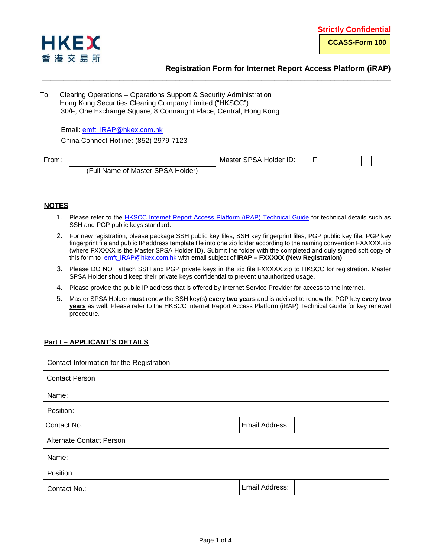

# **Registration Form for Internet Report Access Platform (iRAP)**

To: Clearing Operations – Operations Support & Security Administration Hong Kong Securities Clearing Company Limited ("HKSCC") 30/F, One Exchange Square, 8 Connaught Place, Central, Hong Kong

Email: [emft\\_iRAP@hkex.com.hk](mailto:emft_iRAP@hkex.com.hk) China Connect Hotline: (852) 2979-7123

From: The Master SPSA Holder ID: F



(Full Name of Master SPSA Holder)

# **NOTES**

1. Please refer to the **HKSCC Internet Report Access Platform** (iRAP) Technical Guide for technical details such as SSH and PGP public keys standard.

**\_\_\_\_\_\_\_\_\_\_\_\_\_\_\_\_\_\_\_\_\_\_\_\_\_\_\_\_\_\_\_\_\_\_\_\_\_\_\_\_\_\_\_\_\_\_\_\_\_\_\_\_\_\_\_\_\_\_\_\_\_\_\_\_\_\_\_\_\_\_\_\_\_\_\_\_\_\_\_\_\_**

- 2. For new registration, please package SSH public key files, SSH key fingerprint files, PGP public key file, PGP key fingerprint file and public IP address template file into one zip folder according to the naming convention FXXXXX.zip (where FXXXXX is the Master SPSA Holder ID). Submit the folder with the completed and duly signed soft copy of this form to **emft iRAP@hkex.com.hk** with email subject of **iRAP – FXXXXX** (New Registration).
- 3. Please DO NOT attach SSH and PGP private keys in the zip file FXXXXX.zip to HKSCC for registration. Master SPSA Holder should keep their private keys confidential to prevent unauthorized usage.
- 4. Please provide the public IP address that is offered by Internet Service Provider for access to the internet.
- 5. Master SPSA Holder **must** renew the SSH key(s) **every two years** and is advised to renew the PGP key **every two years** as well. Please refer to the HKSCC Internet Report Access Platform (iRAP) Technical Guide for key renewal procedure.

### **Part I – APPLICANT'S DETAILS**

| Contact Information for the Registration |                |  |  |
|------------------------------------------|----------------|--|--|
| <b>Contact Person</b>                    |                |  |  |
| Name:                                    |                |  |  |
| Position:                                |                |  |  |
| Contact No.:                             | Email Address: |  |  |
| <b>Alternate Contact Person</b>          |                |  |  |
| Name:                                    |                |  |  |
| Position:                                |                |  |  |
| Contact No.:                             | Email Address: |  |  |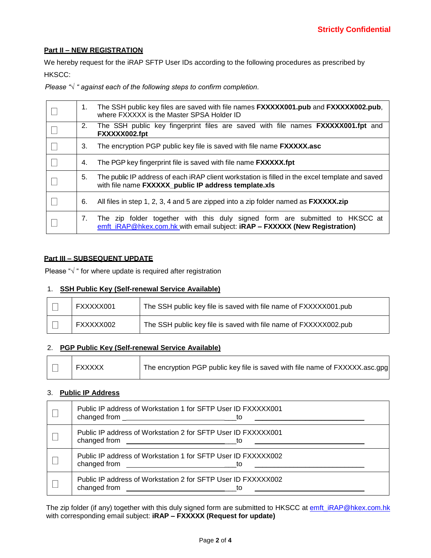### **Part II – NEW REGISTRATION**

We hereby request for the iRAP SFTP User IDs according to the following procedures as prescribed by HKSCC:

*Please "√ " against each of the following steps to confirm completion.*

| 1. | The SSH public key files are saved with file names <b>FXXXXX001.pub</b> and <b>FXXXXX002.pub</b> ,<br>where FXXXXX is the Master SPSA Holder ID            |  |  |
|----|------------------------------------------------------------------------------------------------------------------------------------------------------------|--|--|
| 2. | The SSH public key fingerprint files are saved with file names <b>FXXXXX001.fpt</b> and<br>FXXXXX002.fpt                                                   |  |  |
| 3. | The encryption PGP public key file is saved with file name <b>FXXXXX.asc</b>                                                                               |  |  |
| 4. | The PGP key fingerprint file is saved with file name <b>FXXXXX.fpt</b>                                                                                     |  |  |
| 5. | The public IP address of each iRAP client workstation is filled in the excel template and saved<br>with file name FXXXXX_public IP address template.xls    |  |  |
| 6. | All files in step 1, 2, 3, 4 and 5 are zipped into a zip folder named as <b>FXXXXX.zip</b>                                                                 |  |  |
| 7. | The zip folder together with this duly signed form are submitted to HKSCC at<br>emft_iRAP@hkex.com.hk with email subject: iRAP - FXXXXX (New Registration) |  |  |

### **Part III – SUBSEQUENT UPDATE**

Please "√ " for where update is required after registration

### 1. **SSH Public Key (Self-renewal Service Available)**

| FXXXXX001 | The SSH public key file is saved with file name of FXXXXX001.pub |
|-----------|------------------------------------------------------------------|
| FXXXXX002 | The SSH public key file is saved with file name of FXXXXX002.pub |

# 2. **PGP Public Key (Self-renewal Service Available)**

| <b>FXXXXX</b> | The encryption PGP public key file is saved with file name of FXXXXX.asc.gpg |
|---------------|------------------------------------------------------------------------------|
|               |                                                                              |

### 3. **Public IP Address**

| Public IP address of Workstation 1 for SFTP User ID FXXXXX001 |
|---------------------------------------------------------------|
| Public IP address of Workstation 2 for SFTP User ID FXXXXX001 |
| Public IP address of Workstation 1 for SFTP User ID FXXXXX002 |
| Public IP address of Workstation 2 for SFTP User ID FXXXXX002 |

The zip folder (if any) together with this duly signed form are submitted to HKSCC at emft\_iRAP@hkex.com.hk with corresponding email subject: **iRAP – FXXXXX (Request for update)**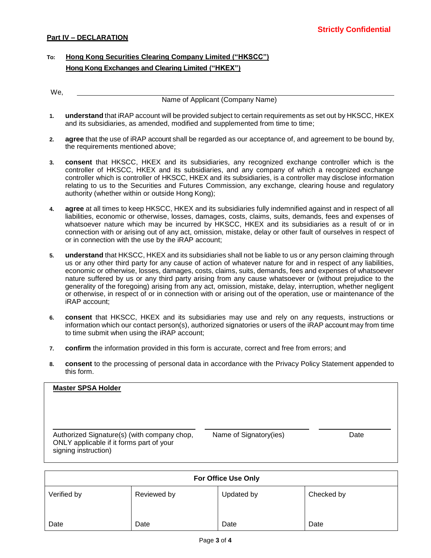# **To: Hong Kong Securities Clearing Company Limited ("HKSCC") Hong Kong Exchanges and Clearing Limited ("HKEX")**

| We, |  |  |
|-----|--|--|
|     |  |  |

**1. understand** that iRAP account will be provided subject to certain requirements as set out by HKSCC, HKEX and its subsidiaries, as amended, modified and supplemented from time to time;

Name of Applicant (Company Name)

- **2. agree** that the use of iRAP account shall be regarded as our acceptance of, and agreement to be bound by, the requirements mentioned above;
- **3. consent** that HKSCC, HKEX and its subsidiaries, any recognized exchange controller which is the controller of HKSCC, HKEX and its subsidiaries, and any company of which a recognized exchange controller which is controller of HKSCC, HKEX and its subsidiaries, is a controller may disclose information relating to us to the Securities and Futures Commission, any exchange, clearing house and regulatory authority (whether within or outside Hong Kong);
- **4. agree** at all times to keep HKSCC, HKEX and its subsidiaries fully indemnified against and in respect of all liabilities, economic or otherwise, losses, damages, costs, claims, suits, demands, fees and expenses of whatsoever nature which may be incurred by HKSCC, HKEX and its subsidiaries as a result of or in connection with or arising out of any act, omission, mistake, delay or other fault of ourselves in respect of or in connection with the use by the iRAP account;
- **5. understand** that HKSCC, HKEX and its subsidiaries shall not be liable to us or any person claiming through us or any other third party for any cause of action of whatever nature for and in respect of any liabilities, economic or otherwise, losses, damages, costs, claims, suits, demands, fees and expenses of whatsoever nature suffered by us or any third party arising from any cause whatsoever or (without prejudice to the generality of the foregoing) arising from any act, omission, mistake, delay, interruption, whether negligent or otherwise, in respect of or in connection with or arising out of the operation, use or maintenance of the iRAP account;
- **6. consent** that HKSCC, HKEX and its subsidiaries may use and rely on any requests, instructions or information which our contact person(s), authorized signatories or users of the iRAP account may from time to time submit when using the iRAP account;
- **7. confirm** the information provided in this form is accurate, correct and free from errors; and
- **8. consent** to the processing of personal data in accordance with the Privacy Policy Statement appended to this form.

| <b>Master SPSA Holder</b>                                                                                       |                        |      |
|-----------------------------------------------------------------------------------------------------------------|------------------------|------|
| Authorized Signature(s) (with company chop,<br>ONLY applicable if it forms part of your<br>signing instruction) | Name of Signatory(ies) | Date |

| <b>For Office Use Only</b> |             |            |            |  |
|----------------------------|-------------|------------|------------|--|
| Verified by                | Reviewed by | Updated by | Checked by |  |
| Date                       | Date        | Date       | Date       |  |